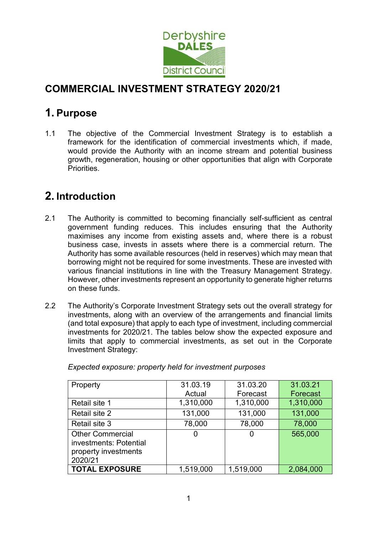

# COMMERCIAL INVESTMENT STRATEGY 2020/21

# 1. Purpose

1.1 The objective of the Commercial Investment Strategy is to establish a framework for the identification of commercial investments which, if made, would provide the Authority with an income stream and potential business growth, regeneration, housing or other opportunities that align with Corporate Priorities.

# 2. Introduction

- 2.1 The Authority is committed to becoming financially self-sufficient as central government funding reduces. This includes ensuring that the Authority maximises any income from existing assets and, where there is a robust business case, invests in assets where there is a commercial return. The Authority has some available resources (held in reserves) which may mean that borrowing might not be required for some investments. These are invested with various financial institutions in line with the Treasury Management Strategy. However, other investments represent an opportunity to generate higher returns on these funds.
- 2.2 The Authority's Corporate Investment Strategy sets out the overall strategy for investments, along with an overview of the arrangements and financial limits (and total exposure) that apply to each type of investment, including commercial investments for 2020/21. The tables below show the expected exposure and limits that apply to commercial investments, as set out in the Corporate Investment Strategy:

| Property                                                                             | 31.03.19  | 31.03.20  | 31.03.21  |
|--------------------------------------------------------------------------------------|-----------|-----------|-----------|
|                                                                                      | Actual    | Forecast  | Forecast  |
| Retail site 1                                                                        | 1,310,000 | 1,310,000 | 1,310,000 |
| Retail site 2                                                                        | 131,000   | 131,000   | 131,000   |
| Retail site 3                                                                        | 78,000    | 78,000    | 78,000    |
| <b>Other Commercial</b><br>investments: Potential<br>property investments<br>2020/21 | 0         | 0         | 565,000   |
| <b>TOTAL EXPOSURE</b>                                                                | 1,519,000 | 1,519,000 | 2,084,000 |

Expected exposure: property held for investment purposes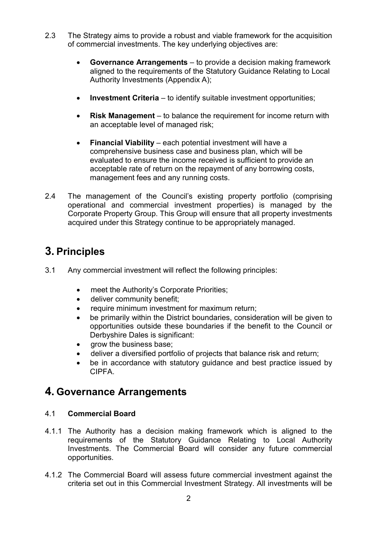- 2.3 The Strategy aims to provide a robust and viable framework for the acquisition of commercial investments. The key underlying objectives are:
	- Governance Arrangements to provide a decision making framework aligned to the requirements of the Statutory Guidance Relating to Local Authority Investments (Appendix A);
	- **Investment Criteria** to identify suitable investment opportunities:
	- Risk Management to balance the requirement for income return with an acceptable level of managed risk;
	- Financial Viability each potential investment will have a comprehensive business case and business plan, which will be evaluated to ensure the income received is sufficient to provide an acceptable rate of return on the repayment of any borrowing costs, management fees and any running costs.
- 2.4 The management of the Council's existing property portfolio (comprising operational and commercial investment properties) is managed by the Corporate Property Group. This Group will ensure that all property investments acquired under this Strategy continue to be appropriately managed.

# 3. Principles

- 3.1 Any commercial investment will reflect the following principles:
	- meet the Authority's Corporate Priorities;
	- deliver community benefit;
	- require minimum investment for maximum return;
	- be primarily within the District boundaries, consideration will be given to opportunities outside these boundaries if the benefit to the Council or Derbyshire Dales is significant:
	- grow the business base;
	- deliver a diversified portfolio of projects that balance risk and return;
	- be in accordance with statutory guidance and best practice issued by CIPFA.

# 4. Governance Arrangements

# 4.1 Commercial Board

- 4.1.1 The Authority has a decision making framework which is aligned to the requirements of the Statutory Guidance Relating to Local Authority Investments. The Commercial Board will consider any future commercial opportunities.
- 4.1.2 The Commercial Board will assess future commercial investment against the criteria set out in this Commercial Investment Strategy. All investments will be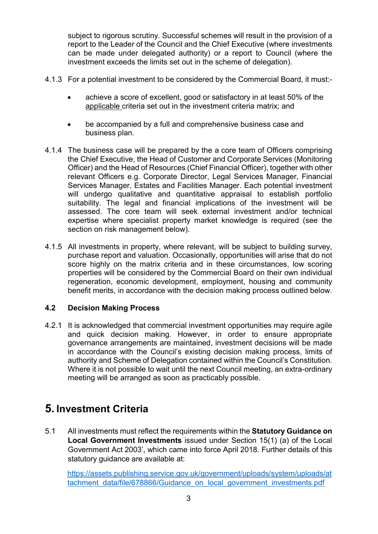subject to rigorous scrutiny. Successful schemes will result in the provision of a report to the Leader of the Council and the Chief Executive (where investments can be made under delegated authority) or a report to Council (where the investment exceeds the limits set out in the scheme of delegation).

- 4.1.3 For a potential investment to be considered by the Commercial Board, it must:
	- achieve a score of excellent, good or satisfactory in at least 50% of the applicable criteria set out in the investment criteria matrix; and
	- be accompanied by a full and comprehensive business case and business plan.
- 4.1.4 The business case will be prepared by the a core team of Officers comprising the Chief Executive, the Head of Customer and Corporate Services (Monitoring Officer) and the Head of Resources (Chief Financial Officer), together with other relevant Officers e.g. Corporate Director, Legal Services Manager, Financial Services Manager, Estates and Facilities Manager. Each potential investment will undergo qualitative and quantitative appraisal to establish portfolio suitability. The legal and financial implications of the investment will be assessed. The core team will seek external investment and/or technical expertise where specialist property market knowledge is required (see the section on risk management below).
- 4.1.5 All investments in property, where relevant, will be subject to building survey, purchase report and valuation. Occasionally, opportunities will arise that do not score highly on the matrix criteria and in these circumstances, low scoring properties will be considered by the Commercial Board on their own individual regeneration, economic development, employment, housing and community benefit merits, in accordance with the decision making process outlined below.

# 4.2 Decision Making Process

4.2.1 It is acknowledged that commercial investment opportunities may require agile and quick decision making. However, in order to ensure appropriate governance arrangements are maintained, investment decisions will be made in accordance with the Council's existing decision making process, limits of authority and Scheme of Delegation contained within the Council's Constitution. Where it is not possible to wait until the next Council meeting, an extra-ordinary meeting will be arranged as soon as practicably possible.

# 5. Investment Criteria

5.1 All investments must reflect the requirements within the Statutory Guidance on Local Government Investments issued under Section 15(1) (a) of the Local Government Act 2003', which came into force April 2018. Further details of this statutory guidance are available at:

https://assets.publishing.service.gov.uk/government/uploads/system/uploads/at tachment\_data/file/678866/Guidance\_on\_local\_government\_investments.pdf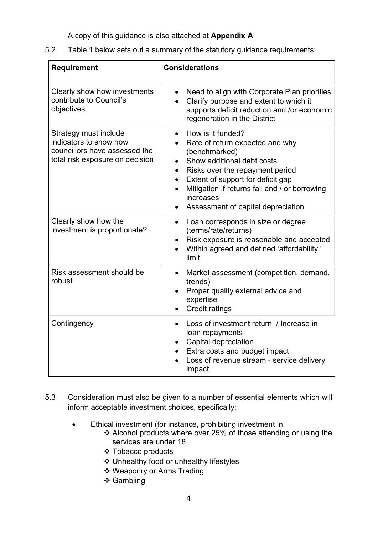A copy of this guidance is also attached at Appendix A

5.2 Table 1 below sets out a summary of the statutory guidance requirements:

| Requirement                                                                                                         | <b>Considerations</b>                                                                                                                                                                                                                                                                                                  |  |
|---------------------------------------------------------------------------------------------------------------------|------------------------------------------------------------------------------------------------------------------------------------------------------------------------------------------------------------------------------------------------------------------------------------------------------------------------|--|
| Clearly show how investments<br>contribute to Council's<br>objectives                                               | Need to align with Corporate Plan priorities<br>Clarify purpose and extent to which it<br>supports deficit reduction and /or economic<br>regeneration in the District                                                                                                                                                  |  |
| Strategy must include<br>indicators to show how<br>councillors have assessed the<br>total risk exposure on decision | How is it funded?<br>Rate of return expected and why<br>(benchmarked)<br>Show additional debt costs<br>$\bullet$<br>Risks over the repayment period<br>$\bullet$<br>Extent of support for deficit gap<br>$\bullet$<br>Mitigation if returns fail and / or borrowing<br>increases<br>Assessment of capital depreciation |  |
| Clearly show how the<br>investment is proportionate?                                                                | Loan corresponds in size or degree<br>$\bullet$<br>(terms/rate/returns)<br>Risk exposure is reasonable and accepted<br>Within agreed and defined 'affordability '<br>limit                                                                                                                                             |  |
| Risk assessment should be<br>robust                                                                                 | Market assessment (competition, demand,<br>$\bullet$<br>trends)<br>Proper quality external advice and<br>expertise<br><b>Credit ratings</b>                                                                                                                                                                            |  |
| Contingency                                                                                                         | Loss of investment return / Increase in<br>$\bullet$<br>loan repayments<br>Capital depreciation<br>Extra costs and budget impact<br>Loss of revenue stream - service delivery<br>impact                                                                                                                                |  |

- 5.3 Consideration must also be given to a number of essential elements which will inform acceptable investment choices, specifically:
	- Ethical investment (for instance, prohibiting investment in
		- Alcohol products where over 25% of those attending or using the services are under 18
		- **❖ Tobacco products**
		- Unhealthy food or unhealthy lifestyles
		- ❖ Weaponry or Arms Trading
		- ❖ Gambling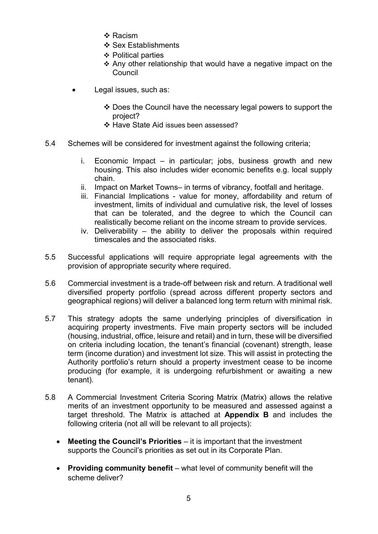- ❖ Racism
- ❖ Sex Establishments
- ❖ Political parties
- Any other relationship that would have a negative impact on the Council
- Legal issues, such as:
	- Does the Council have the necessary legal powers to support the project?
	- ❖ Have State Aid issues been assessed?
- 5.4 Schemes will be considered for investment against the following criteria;
	- i. Economic Impact in particular; jobs, business growth and new housing. This also includes wider economic benefits e.g. local supply chain.
	- ii. Impact on Market Towns– in terms of vibrancy, footfall and heritage.
	- iii. Financial Implications value for money, affordability and return of investment, limits of individual and cumulative risk, the level of losses that can be tolerated, and the degree to which the Council can realistically become reliant on the income stream to provide services.
	- iv. Deliverability the ability to deliver the proposals within required timescales and the associated risks.
- 5.5 Successful applications will require appropriate legal agreements with the provision of appropriate security where required.
- 5.6 Commercial investment is a trade-off between risk and return. A traditional well diversified property portfolio (spread across different property sectors and geographical regions) will deliver a balanced long term return with minimal risk.
- 5.7 This strategy adopts the same underlying principles of diversification in acquiring property investments. Five main property sectors will be included (housing, industrial, office, leisure and retail) and in turn, these will be diversified on criteria including location, the tenant's financial (covenant) strength, lease term (income duration) and investment lot size. This will assist in protecting the Authority portfolio's return should a property investment cease to be income producing (for example, it is undergoing refurbishment or awaiting a new tenant).
- 5.8 A Commercial Investment Criteria Scoring Matrix (Matrix) allows the relative merits of an investment opportunity to be measured and assessed against a target threshold. The Matrix is attached at Appendix B and includes the following criteria (not all will be relevant to all projects):
	- Meeting the Council's Priorities it is important that the investment supports the Council's priorities as set out in its Corporate Plan.
	- Providing community benefit what level of community benefit will the scheme deliver?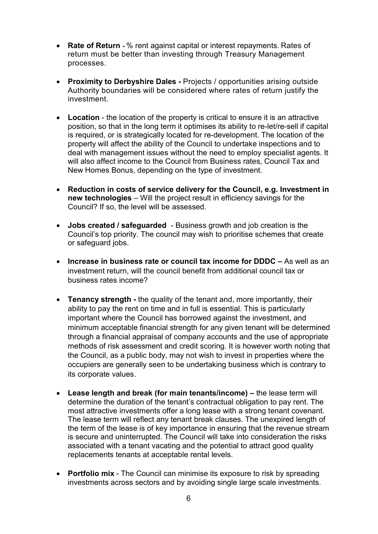- Rate of Return % rent against capital or interest repayments. Rates of return must be better than investing through Treasury Management processes.
- Proximity to Derbyshire Dales Projects / opportunities arising outside Authority boundaries will be considered where rates of return justify the investment.
- Location the location of the property is critical to ensure it is an attractive position, so that in the long term it optimises its ability to re-let/re-sell if capital is required, or is strategically located for re-development. The location of the property will affect the ability of the Council to undertake inspections and to deal with management issues without the need to employ specialist agents. It will also affect income to the Council from Business rates, Council Tax and New Homes Bonus, depending on the type of investment.
- Reduction in costs of service delivery for the Council, e.g. Investment in new technologies – Will the project result in efficiency savings for the Council? If so, the level will be assessed.
- Jobs created / safeguarded Business growth and job creation is the Council's top priority. The council may wish to prioritise schemes that create or safeguard jobs.
- $\bullet$  Increase in business rate or council tax income for DDDC As well as an investment return, will the council benefit from additional council tax or business rates income?
- Tenancy strength the quality of the tenant and, more importantly, their ability to pay the rent on time and in full is essential. This is particularly important where the Council has borrowed against the investment, and minimum acceptable financial strength for any given tenant will be determined through a financial appraisal of company accounts and the use of appropriate methods of risk assessment and credit scoring. It is however worth noting that the Council, as a public body, may not wish to invest in properties where the occupiers are generally seen to be undertaking business which is contrary to its corporate values.
- Lease length and break (for main tenants/income) the lease term will determine the duration of the tenant's contractual obligation to pay rent. The most attractive investments offer a long lease with a strong tenant covenant. The lease term will reflect any tenant break clauses. The unexpired length of the term of the lease is of key importance in ensuring that the revenue stream is secure and uninterrupted. The Council will take into consideration the risks associated with a tenant vacating and the potential to attract good quality replacements tenants at acceptable rental levels.
- Portfolio mix The Council can minimise its exposure to risk by spreading investments across sectors and by avoiding single large scale investments.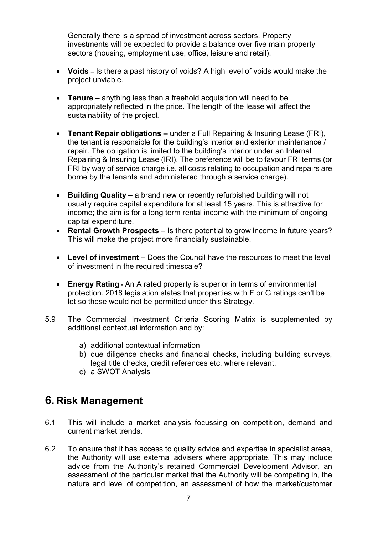Generally there is a spread of investment across sectors. Property investments will be expected to provide a balance over five main property sectors (housing, employment use, office, leisure and retail).

- Voids Is there a past history of voids? A high level of voids would make the project unviable.
- Tenure anything less than a freehold acquisition will need to be appropriately reflected in the price. The length of the lease will affect the sustainability of the project.
- Tenant Repair obligations under a Full Repairing & Insuring Lease (FRI), the tenant is responsible for the building's interior and exterior maintenance / repair. The obligation is limited to the building's interior under an Internal Repairing & Insuring Lease (IRI). The preference will be to favour FRI terms (or FRI by way of service charge i.e. all costs relating to occupation and repairs are borne by the tenants and administered through a service charge).
- Building Quality a brand new or recently refurbished building will not usually require capital expenditure for at least 15 years. This is attractive for income; the aim is for a long term rental income with the minimum of ongoing capital expenditure.
- Rental Growth Prospects Is there potential to grow income in future years? This will make the project more financially sustainable.
- Level of investment Does the Council have the resources to meet the level of investment in the required timescale?
- Energy Rating An A rated property is superior in terms of environmental protection. 2018 legislation states that properties with F or G ratings can't be let so these would not be permitted under this Strategy.
- 5.9 The Commercial Investment Criteria Scoring Matrix is supplemented by additional contextual information and by:
	- a) additional contextual information
	- b) due diligence checks and financial checks, including building surveys, legal title checks, credit references etc. where relevant.
	- c) a SWOT Analysis

# 6. Risk Management

- 6.1 This will include a market analysis focussing on competition, demand and current market trends.
- 6.2 To ensure that it has access to quality advice and expertise in specialist areas, the Authority will use external advisers where appropriate. This may include advice from the Authority's retained Commercial Development Advisor, an assessment of the particular market that the Authority will be competing in, the nature and level of competition, an assessment of how the market/customer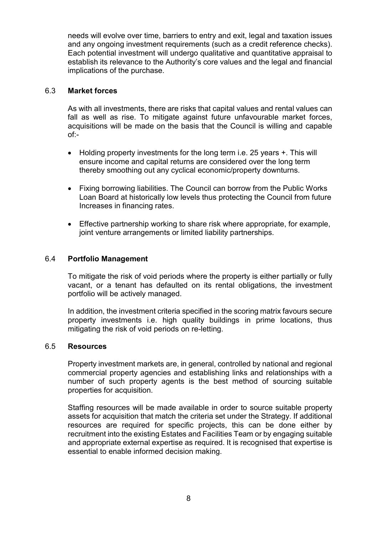needs will evolve over time, barriers to entry and exit, legal and taxation issues and any ongoing investment requirements (such as a credit reference checks). Each potential investment will undergo qualitative and quantitative appraisal to establish its relevance to the Authority's core values and the legal and financial implications of the purchase.

# 6.3 Market forces

 As with all investments, there are risks that capital values and rental values can fall as well as rise. To mitigate against future unfavourable market forces, acquisitions will be made on the basis that the Council is willing and capable of:-

- Holding property investments for the long term i.e. 25 years +. This will ensure income and capital returns are considered over the long term thereby smoothing out any cyclical economic/property downturns.
- Fixing borrowing liabilities. The Council can borrow from the Public Works Loan Board at historically low levels thus protecting the Council from future Increases in financing rates.
- Effective partnership working to share risk where appropriate, for example, joint venture arrangements or limited liability partnerships.

# 6.4 Portfolio Management

To mitigate the risk of void periods where the property is either partially or fully vacant, or a tenant has defaulted on its rental obligations, the investment portfolio will be actively managed.

In addition, the investment criteria specified in the scoring matrix favours secure property investments i.e. high quality buildings in prime locations, thus mitigating the risk of void periods on re-letting.

# 6.5 Resources

 Property investment markets are, in general, controlled by national and regional commercial property agencies and establishing links and relationships with a number of such property agents is the best method of sourcing suitable properties for acquisition.

Staffing resources will be made available in order to source suitable property assets for acquisition that match the criteria set under the Strategy. If additional resources are required for specific projects, this can be done either by recruitment into the existing Estates and Facilities Team or by engaging suitable and appropriate external expertise as required. It is recognised that expertise is essential to enable informed decision making.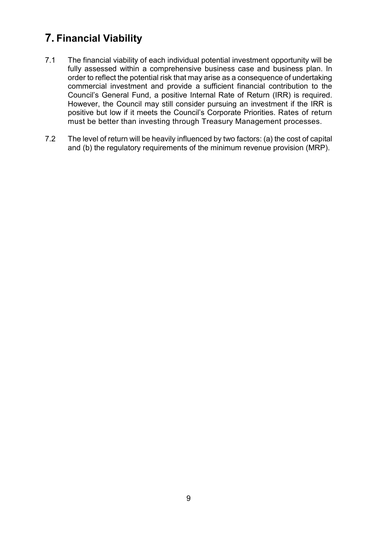# 7. Financial Viability

- 7.1 The financial viability of each individual potential investment opportunity will be fully assessed within a comprehensive business case and business plan. In order to reflect the potential risk that may arise as a consequence of undertaking commercial investment and provide a sufficient financial contribution to the Council's General Fund, a positive Internal Rate of Return (IRR) is required. However, the Council may still consider pursuing an investment if the IRR is positive but low if it meets the Council's Corporate Priorities. Rates of return must be better than investing through Treasury Management processes.
- 7.2 The level of return will be heavily influenced by two factors: (a) the cost of capital and (b) the regulatory requirements of the minimum revenue provision (MRP).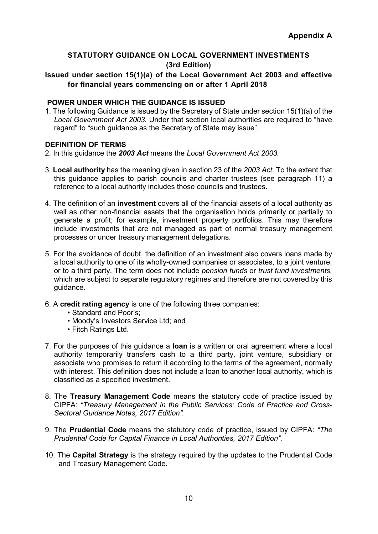# STATUTORY GUIDANCE ON LOCAL GOVERNMENT INVESTMENTS (3rd Edition)

Issued under section 15(1)(a) of the Local Government Act 2003 and effective for financial years commencing on or after 1 April 2018

# POWER UNDER WHICH THE GUIDANCE IS ISSUED

1. The following Guidance is issued by the Secretary of State under section 15(1)(a) of the Local Government Act 2003. Under that section local authorities are required to "have regard" to "such guidance as the Secretary of State may issue".

#### DEFINITION OF TERMS

- 2. In this guidance the 2003 Act means the Local Government Act 2003.
- 3. Local authority has the meaning given in section 23 of the 2003 Act. To the extent that this guidance applies to parish councils and charter trustees (see paragraph 11) a reference to a local authority includes those councils and trustees.
- 4. The definition of an investment covers all of the financial assets of a local authority as well as other non-financial assets that the organisation holds primarily or partially to generate a profit; for example, investment property portfolios. This may therefore include investments that are not managed as part of normal treasury management processes or under treasury management delegations.
- 5. For the avoidance of doubt, the definition of an investment also covers loans made by a local authority to one of its wholly-owned companies or associates, to a joint venture, or to a third party. The term does not include pension funds or trust fund investments, which are subject to separate regulatory regimes and therefore are not covered by this guidance.
- 6. A credit rating agency is one of the following three companies:
	- Standard and Poor's;
	- Moody's Investors Service Ltd; and
	- Fitch Ratings Ltd.
- 7. For the purposes of this guidance a **loan** is a written or oral agreement where a local authority temporarily transfers cash to a third party, joint venture, subsidiary or associate who promises to return it according to the terms of the agreement, normally with interest. This definition does not include a loan to another local authority, which is classified as a specified investment.
- 8. The Treasury Management Code means the statutory code of practice issued by CIPFA: "Treasury Management in the Public Services: Code of Practice and Cross-Sectoral Guidance Notes, 2017 Edition".
- 9. The Prudential Code means the statutory code of practice, issued by CIPFA: "The Prudential Code for Capital Finance in Local Authorities, 2017 Edition".
- 10. The **Capital Strategy** is the strategy required by the updates to the Prudential Code and Treasury Management Code.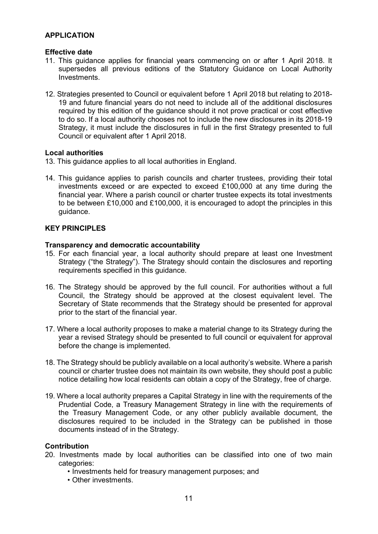### APPLICATION

#### Effective date

- 11. This guidance applies for financial years commencing on or after 1 April 2018. It supersedes all previous editions of the Statutory Guidance on Local Authority Investments.
- 12. Strategies presented to Council or equivalent before 1 April 2018 but relating to 2018- 19 and future financial years do not need to include all of the additional disclosures required by this edition of the guidance should it not prove practical or cost effective to do so. If a local authority chooses not to include the new disclosures in its 2018-19 Strategy, it must include the disclosures in full in the first Strategy presented to full Council or equivalent after 1 April 2018.

#### Local authorities

- 13. This guidance applies to all local authorities in England.
- 14. This guidance applies to parish councils and charter trustees, providing their total investments exceed or are expected to exceed £100,000 at any time during the financial year. Where a parish council or charter trustee expects its total investments to be between £10,000 and £100,000, it is encouraged to adopt the principles in this guidance.

#### **KEY PRINCIPI FS**

#### Transparency and democratic accountability

- 15. For each financial year, a local authority should prepare at least one Investment Strategy ("the Strategy"). The Strategy should contain the disclosures and reporting requirements specified in this guidance.
- 16. The Strategy should be approved by the full council. For authorities without a full Council, the Strategy should be approved at the closest equivalent level. The Secretary of State recommends that the Strategy should be presented for approval prior to the start of the financial year.
- 17. Where a local authority proposes to make a material change to its Strategy during the year a revised Strategy should be presented to full council or equivalent for approval before the change is implemented.
- 18. The Strategy should be publicly available on a local authority's website. Where a parish council or charter trustee does not maintain its own website, they should post a public notice detailing how local residents can obtain a copy of the Strategy, free of charge.
- 19. Where a local authority prepares a Capital Strategy in line with the requirements of the Prudential Code, a Treasury Management Strategy in line with the requirements of the Treasury Management Code, or any other publicly available document, the disclosures required to be included in the Strategy can be published in those documents instead of in the Strategy.

#### **Contribution**

- 20. Investments made by local authorities can be classified into one of two main categories:
	- Investments held for treasury management purposes; and
	- Other investments.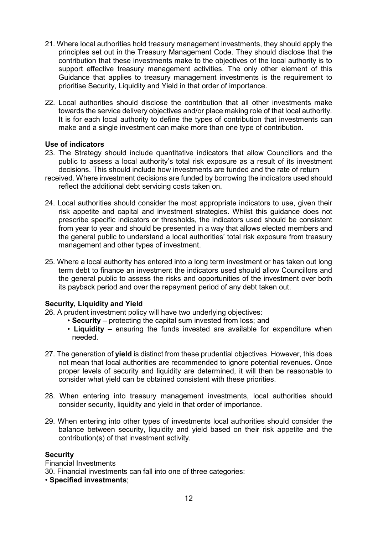- 21. Where local authorities hold treasury management investments, they should apply the principles set out in the Treasury Management Code. They should disclose that the contribution that these investments make to the objectives of the local authority is to support effective treasury management activities. The only other element of this Guidance that applies to treasury management investments is the requirement to prioritise Security, Liquidity and Yield in that order of importance.
- 22. Local authorities should disclose the contribution that all other investments make towards the service delivery objectives and/or place making role of that local authority. It is for each local authority to define the types of contribution that investments can make and a single investment can make more than one type of contribution.

#### Use of indicators

- 23. The Strategy should include quantitative indicators that allow Councillors and the public to assess a local authority's total risk exposure as a result of its investment decisions. This should include how investments are funded and the rate of return
- received. Where investment decisions are funded by borrowing the indicators used should reflect the additional debt servicing costs taken on.
- 24. Local authorities should consider the most appropriate indicators to use, given their risk appetite and capital and investment strategies. Whilst this guidance does not prescribe specific indicators or thresholds, the indicators used should be consistent from year to year and should be presented in a way that allows elected members and the general public to understand a local authorities' total risk exposure from treasury management and other types of investment.
- 25. Where a local authority has entered into a long term investment or has taken out long term debt to finance an investment the indicators used should allow Councillors and the general public to assess the risks and opportunities of the investment over both its payback period and over the repayment period of any debt taken out.

# Security, Liquidity and Yield

- 26. A prudent investment policy will have two underlying objectives:
	- Security protecting the capital sum invested from loss; and
	- Liquidity ensuring the funds invested are available for expenditure when needed.
- 27. The generation of **yield** is distinct from these prudential objectives. However, this does not mean that local authorities are recommended to ignore potential revenues. Once proper levels of security and liquidity are determined, it will then be reasonable to consider what yield can be obtained consistent with these priorities.
- 28. When entering into treasury management investments, local authorities should consider security, liquidity and yield in that order of importance.
- 29. When entering into other types of investments local authorities should consider the balance between security, liquidity and yield based on their risk appetite and the contribution(s) of that investment activity.

#### **Security**

Financial Investments 30. Financial investments can fall into one of three categories: • Specified investments;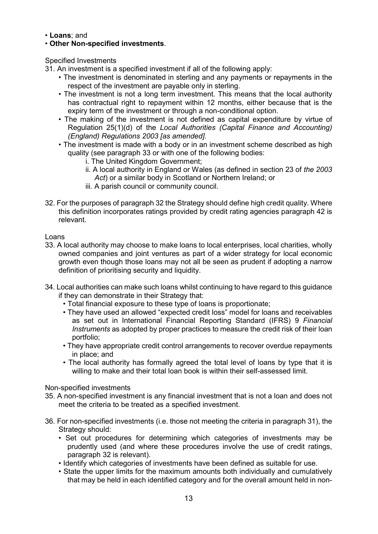- Loans; and
- Other Non-specified investments.

Specified Investments

- 31. An investment is a specified investment if all of the following apply:
	- The investment is denominated in sterling and any payments or repayments in the respect of the investment are payable only in sterling.
	- The investment is not a long term investment. This means that the local authority has contractual right to repayment within 12 months, either because that is the expiry term of the investment or through a non-conditional option.
	- The making of the investment is not defined as capital expenditure by virtue of Regulation 25(1)(d) of the Local Authorities (Capital Finance and Accounting) (England) Regulations 2003 [as amended].
	- The investment is made with a body or in an investment scheme described as high quality (see paragraph 33 or with one of the following bodies:
		- i. The United Kingdom Government;
		- ii. A local authority in England or Wales (as defined in section 23 of the 2003 Act) or a similar body in Scotland or Northern Ireland; or
		- iii. A parish council or community council.
- 32. For the purposes of paragraph 32 the Strategy should define high credit quality. Where this definition incorporates ratings provided by credit rating agencies paragraph 42 is relevant.

Loans

- 33. A local authority may choose to make loans to local enterprises, local charities, wholly owned companies and joint ventures as part of a wider strategy for local economic growth even though those loans may not all be seen as prudent if adopting a narrow definition of prioritising security and liquidity.
- 34. Local authorities can make such loans whilst continuing to have regard to this guidance if they can demonstrate in their Strategy that:
	- Total financial exposure to these type of loans is proportionate;
	- They have used an allowed "expected credit loss" model for loans and receivables as set out in International Financial Reporting Standard (IFRS) 9 Financial Instruments as adopted by proper practices to measure the credit risk of their loan portfolio;
	- They have appropriate credit control arrangements to recover overdue repayments in place; and
	- The local authority has formally agreed the total level of loans by type that it is willing to make and their total loan book is within their self-assessed limit.

Non-specified investments

- 35. A non-specified investment is any financial investment that is not a loan and does not meet the criteria to be treated as a specified investment.
- 36. For non-specified investments (i.e. those not meeting the criteria in paragraph 31), the Strategy should:
	- Set out procedures for determining which categories of investments may be prudently used (and where these procedures involve the use of credit ratings, paragraph 32 is relevant).
	- Identify which categories of investments have been defined as suitable for use.
	- State the upper limits for the maximum amounts both individually and cumulatively that may be held in each identified category and for the overall amount held in non-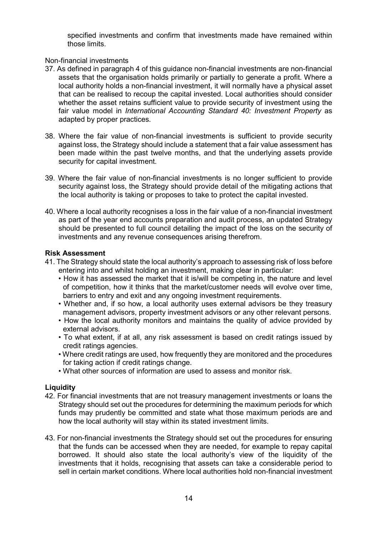specified investments and confirm that investments made have remained within those limits.

Non-financial investments

- 37. As defined in paragraph 4 of this guidance non-financial investments are non-financial assets that the organisation holds primarily or partially to generate a profit. Where a local authority holds a non-financial investment, it will normally have a physical asset that can be realised to recoup the capital invested. Local authorities should consider whether the asset retains sufficient value to provide security of investment using the fair value model in International Accounting Standard 40: Investment Property as adapted by proper practices.
- 38. Where the fair value of non-financial investments is sufficient to provide security against loss, the Strategy should include a statement that a fair value assessment has been made within the past twelve months, and that the underlying assets provide security for capital investment.
- 39. Where the fair value of non-financial investments is no longer sufficient to provide security against loss, the Strategy should provide detail of the mitigating actions that the local authority is taking or proposes to take to protect the capital invested.
- 40. Where a local authority recognises a loss in the fair value of a non-financial investment as part of the year end accounts preparation and audit process, an updated Strategy should be presented to full council detailing the impact of the loss on the security of investments and any revenue consequences arising therefrom.

# Risk Assessment

- 41. The Strategy should state the local authority's approach to assessing risk of loss before entering into and whilst holding an investment, making clear in particular:
	- How it has assessed the market that it is/will be competing in, the nature and level of competition, how it thinks that the market/customer needs will evolve over time, barriers to entry and exit and any ongoing investment requirements.
	- Whether and, if so how, a local authority uses external advisors be they treasury management advisors, property investment advisors or any other relevant persons.
	- How the local authority monitors and maintains the quality of advice provided by external advisors.
	- To what extent, if at all, any risk assessment is based on credit ratings issued by credit ratings agencies.
	- Where credit ratings are used, how frequently they are monitored and the procedures for taking action if credit ratings change.
	- What other sources of information are used to assess and monitor risk.

# **Liquidity**

- 42. For financial investments that are not treasury management investments or loans the Strategy should set out the procedures for determining the maximum periods for which funds may prudently be committed and state what those maximum periods are and how the local authority will stay within its stated investment limits.
- 43. For non-financial investments the Strategy should set out the procedures for ensuring that the funds can be accessed when they are needed, for example to repay capital borrowed. It should also state the local authority's view of the liquidity of the investments that it holds, recognising that assets can take a considerable period to sell in certain market conditions. Where local authorities hold non-financial investment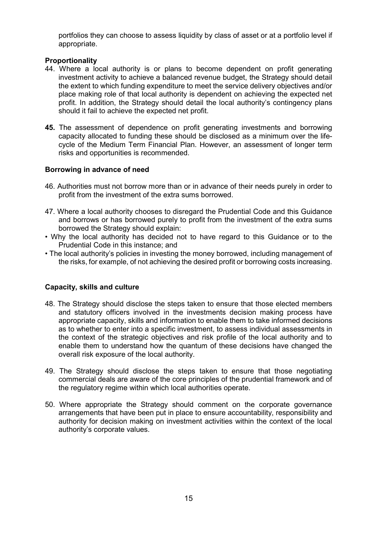portfolios they can choose to assess liquidity by class of asset or at a portfolio level if appropriate.

### Proportionality

- 44. Where a local authority is or plans to become dependent on profit generating investment activity to achieve a balanced revenue budget, the Strategy should detail the extent to which funding expenditure to meet the service delivery objectives and/or place making role of that local authority is dependent on achieving the expected net profit. In addition, the Strategy should detail the local authority's contingency plans should it fail to achieve the expected net profit.
- 45. The assessment of dependence on profit generating investments and borrowing capacity allocated to funding these should be disclosed as a minimum over the lifecycle of the Medium Term Financial Plan. However, an assessment of longer term risks and opportunities is recommended.

#### Borrowing in advance of need

- 46. Authorities must not borrow more than or in advance of their needs purely in order to profit from the investment of the extra sums borrowed.
- 47. Where a local authority chooses to disregard the Prudential Code and this Guidance and borrows or has borrowed purely to profit from the investment of the extra sums borrowed the Strategy should explain:
- Why the local authority has decided not to have regard to this Guidance or to the Prudential Code in this instance; and
- The local authority's policies in investing the money borrowed, including management of the risks, for example, of not achieving the desired profit or borrowing costs increasing.

#### Capacity, skills and culture

- 48. The Strategy should disclose the steps taken to ensure that those elected members and statutory officers involved in the investments decision making process have appropriate capacity, skills and information to enable them to take informed decisions as to whether to enter into a specific investment, to assess individual assessments in the context of the strategic objectives and risk profile of the local authority and to enable them to understand how the quantum of these decisions have changed the overall risk exposure of the local authority.
- 49. The Strategy should disclose the steps taken to ensure that those negotiating commercial deals are aware of the core principles of the prudential framework and of the regulatory regime within which local authorities operate.
- 50. Where appropriate the Strategy should comment on the corporate governance arrangements that have been put in place to ensure accountability, responsibility and authority for decision making on investment activities within the context of the local authority's corporate values.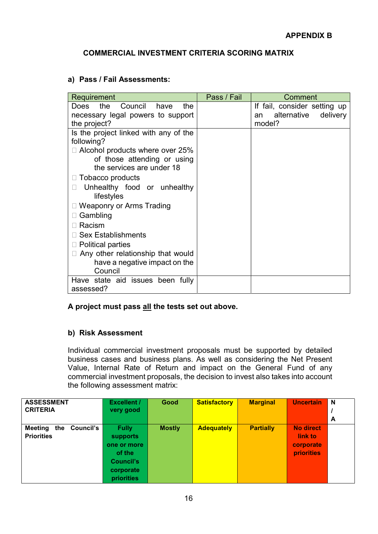# COMMERCIAL INVESTMENT CRITERIA SCORING MATRIX

# a) Pass / Fail Assessments:

| Requirement                                  | Pass / Fail | Comment                       |
|----------------------------------------------|-------------|-------------------------------|
| Council<br>the<br>the<br><b>Does</b><br>have |             | If fail, consider setting up  |
| necessary legal powers to support            |             | alternative<br>delivery<br>an |
| the project?                                 |             | model?                        |
| Is the project linked with any of the        |             |                               |
| following?                                   |             |                               |
| $\Box$ Alcohol products where over 25%       |             |                               |
| of those attending or using                  |             |                               |
| the services are under 18                    |             |                               |
| Tobacco products                             |             |                               |
| Unhealthy food or unhealthy                  |             |                               |
| lifestyles                                   |             |                               |
| $\Box$ Weaponry or Arms Trading              |             |                               |
| $\Box$ Gambling                              |             |                               |
| Racism                                       |             |                               |
| <b>Sex Establishments</b>                    |             |                               |
| $\Box$ Political parties                     |             |                               |
| $\Box$ Any other relationship that would     |             |                               |
| have a negative impact on the                |             |                               |
| Council                                      |             |                               |
| Have state aid issues been fully             |             |                               |
| assessed?                                    |             |                               |

# A project must pass all the tests set out above.

# b) Risk Assessment

Individual commercial investment proposals must be supported by detailed business cases and business plans. As well as considering the Net Present Value, Internal Rate of Return and impact on the General Fund of any commercial investment proposals, the decision to invest also takes into account the following assessment matrix:

| <b>ASSESSMENT</b>                  | <b>Excellent /</b> | Good          | <b>Satisfactory</b> | <b>Marginal</b>  | <b>Uncertain</b> | <b>N</b> |
|------------------------------------|--------------------|---------------|---------------------|------------------|------------------|----------|
| <b>CRITERIA</b>                    | very good          |               |                     |                  |                  |          |
|                                    |                    |               |                     |                  |                  | A        |
| Council's<br><b>Meeting</b><br>the | <b>Fully</b>       | <b>Mostly</b> | <b>Adequately</b>   | <b>Partially</b> | <b>No direct</b> |          |
| <b>Priorities</b>                  | supports           |               |                     |                  | link to          |          |
|                                    | one or more        |               |                     |                  | corporate        |          |
|                                    | of the             |               |                     |                  | priorities       |          |
|                                    | <b>Council's</b>   |               |                     |                  |                  |          |
|                                    | corporate          |               |                     |                  |                  |          |
|                                    | priorities         |               |                     |                  |                  |          |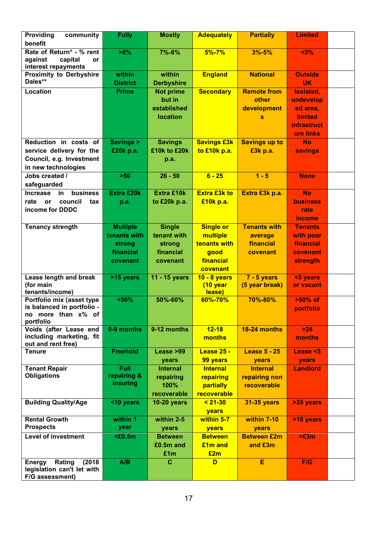| Providing<br>community<br>benefit                                                                    | <b>Fully</b>                                                       | <b>Mostly</b>                                                   | <b>Adequately</b>                                                             | <b>Partially</b>                                        | <b>Limited</b>                                                                          |  |
|------------------------------------------------------------------------------------------------------|--------------------------------------------------------------------|-----------------------------------------------------------------|-------------------------------------------------------------------------------|---------------------------------------------------------|-----------------------------------------------------------------------------------------|--|
| Rate of Return* - % rent<br>against<br>capital<br><b>or</b><br>interest repayments                   | >8%                                                                | 7%-8%                                                           | $5% - 7%$                                                                     | $3% - 5%$                                               | $3%$                                                                                    |  |
| <b>Proximity to Derbyshire</b><br>Dales**                                                            | within<br><b>District</b>                                          | within<br><b>Derbyshire</b>                                     | <b>England</b>                                                                | <b>National</b>                                         | <b>Outside</b><br><b>UK</b>                                                             |  |
| Location                                                                                             | <b>Prime</b>                                                       | <b>Not prime</b><br>but in<br>established<br><b>location</b>    | <b>Secondary</b>                                                              | <b>Remote from</b><br>other<br>development<br>s         | Isolated,<br>undevelop<br>ed area,<br><b>limited</b><br><b>infrastruct</b><br>ure links |  |
| Reduction in costs of<br>service delivery for the<br>Council, e.g. Investment<br>in new technologies | <b>Savings &gt;</b><br>£20k p.a.                                   | <b>Savings</b><br>£10k to £20k<br>p.a.                          | <b>Savings £3k</b><br>to £10k p.a.                                            | <b>Savings up to</b><br>£3k p.a.                        | <b>No</b><br><b>savings</b>                                                             |  |
| Jobs created /<br>safeguarded                                                                        | $>50$                                                              | $26 - 50$                                                       | $6 - 25$                                                                      | $1 - 5$                                                 | <b>None</b>                                                                             |  |
| business<br><b>Increase</b><br>in<br>rate<br>council<br>tax<br>or<br>income for DDDC                 | <b>Extra £20k</b><br>p.a.                                          | <b>Extra £10k</b><br>to £20k p.a.                               | <b>Extra £3k to</b><br>£10k p.a.                                              | Extra £3k p.a.                                          | <b>No</b><br><b>business</b><br>rate<br><i>income</i>                                   |  |
| <b>Tenancy strength</b>                                                                              | <b>Multiple</b><br>tenants with<br>strong<br>financial<br>covenant | <b>Single</b><br>tenant with<br>strong<br>financial<br>covenant | <b>Single or</b><br>multiple<br>tenants with<br>good<br>financial<br>covenant | <b>Tenants with</b><br>average<br>financial<br>covenant | <b>Tenants</b><br>with poor<br>financial<br>covenant<br><b>strength</b>                 |  |
| Lease length and break<br>(for main<br>tenants/income)                                               | >15 years                                                          | 11 - 15 years                                                   | 10 - 8 years<br>(10 year<br>lease)                                            | $7 - 5$ years<br>(5 year break)                         | <5 years<br>or vacant                                                                   |  |
| Portfolio mix (asset type<br>is balanced in portfolio -<br>no more than x% of<br>portfolio           | $50%$                                                              | 50%-60%                                                         | 60%-70%                                                                       | 70%-80%                                                 | >80% of<br>portfolio                                                                    |  |
| Voids (after Lease end<br>including marketing, fit<br>out and rent free)                             | 0-9 months                                                         | 9-12 months                                                     | $12 - 18$<br>months                                                           | 18-24 months                                            | $>24$<br>months                                                                         |  |
| <b>Tenure</b>                                                                                        | <b>Freehold</b>                                                    | Lease >99<br>years                                              | <b>Lease 25 -</b><br>99 years                                                 | <b>Lease 5 - 25</b><br>years                            | <b>Lease &lt;5</b><br>years                                                             |  |
| <b>Tenant Repair</b><br><b>Obligations</b>                                                           | <b>Full</b><br>repairing &<br>insuring                             | <b>Internal</b><br>repairing<br>100%<br>recoverable             | <b>Internal</b><br>repairing<br>partially<br>recoverable                      | <b>Internal</b><br>repairing non<br>recoverable         | <b>Landlord</b>                                                                         |  |
| <b>Building Quality/Age</b>                                                                          | <10 years                                                          | 10-20 years                                                     | $< 21 - 30$<br><b>years</b>                                                   | <b>31-35 years</b>                                      | >35 years                                                                               |  |
| <b>Rental Growth</b><br><b>Prospects</b>                                                             | within 1<br>year                                                   | within 2-5<br>years                                             | within 5-7<br>years                                                           | within 7-10<br>years                                    | >10 years                                                                               |  |
| <b>Level of investment</b>                                                                           | $\epsilon0.5m$                                                     | <b>Between</b><br>£0.5m and<br>£1m                              | <b>Between</b><br>£1m and<br>£2m                                              | <b>Between £2m</b><br>and £3m                           | >E3m                                                                                    |  |
| Rating<br>(2018)<br>Energy<br>legislation can't let with<br>F/G assessment)                          | A/B                                                                | $\mathbf{C}$                                                    | D                                                                             | E                                                       | F/G                                                                                     |  |